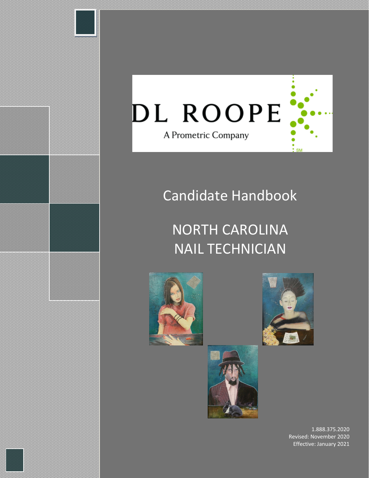

# Candidate Handbook

# NORTH CAROLINA NAIL TECHNICIAN







1.888.375.2020 Revised: November 2020 Effective: January 2021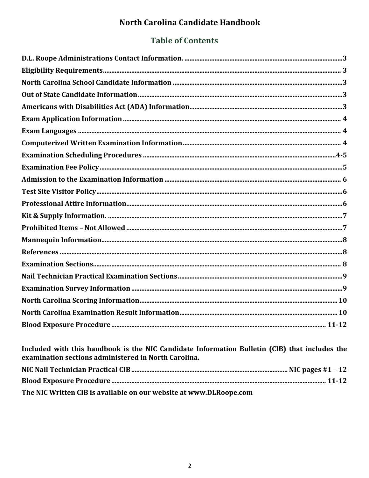# North Carolina Candidate Handbook

# **Table of Contents**

Included with this handbook is the NIC Candidate Information Bulletin (CIB) that includes the examination sections administered in North Carolina. The NIC Written CIB is available on our website at www.DLRoope.com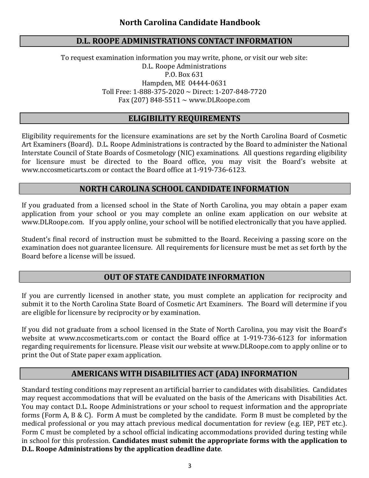#### **D.L. ROOPE ADMINISTRATIONS CONTACT INFORMATION**

To request examination information you may write, phone, or visit our web site: D.L. Roope Administrations P.O. Box 631 Hampden, ME 04444-0631 Toll Free: 1-888-375-2020 ~ Direct: 1-207-848-7720 Fax (207) 848-5511  $\sim$  www.DLRoope.com

#### **ELIGIBILITY REQUIREMENTS**

Eligibility requirements for the licensure examinations are set by the North Carolina Board of Cosmetic Art Examiners (Board). D.L. Roope Administrations is contracted by the Board to administer the National Interstate Council of State Boards of Cosmetology (NIC) examinations. All questions regarding eligibility for licensure must be directed to the Board office, you may visit the Board's website at [www.nccosmeticarts.com](http://www.nccosmeticarts.com/) or contact the Board office at 1-919-736-6123.

## **NORTH CAROLINA SCHOOL CANDIDATE INFORMATION**

If you graduated from a licensed school in the State of North Carolina, you may obtain a paper exam application from your school or you may complete an online exam application on our website at www.DLRoope.com. If you apply online, your school will be notified electronically that you have applied.

Student's final record of instruction must be submitted to the Board. Receiving a passing score on the examination does not guarantee licensure. All requirements for licensure must be met as set forth by the Board before a license will be issued.

## **OUT OF STATE CANDIDATE INFORMATION**

If you are currently licensed in another state, you must complete an application for reciprocity and submit it to the North Carolina State Board of Cosmetic Art Examiners. The Board will determine if you are eligible for licensure by reciprocity or by examination.

If you did not graduate from a school licensed in the State of North Carolina, you may visit the Board's website at [www.nccosmeticarts.com](http://www.nccosmeticarts.com/) or contact the Board office at 1-919-736-6123 for information regarding requirements for licensure. Please visit our website at [www.DLRoope.com](http://www.dlroope.com/) to apply online or to print the Out of State paper exam application.

## **AMERICANS WITH DISABILITIES ACT (ADA) INFORMATION**

Standard testing conditions may represent an artificial barrier to candidates with disabilities. Candidates may request accommodations that will be evaluated on the basis of the Americans with Disabilities Act. You may contact D.L. Roope Administrations or your school to request information and the appropriate forms (Form A, B & C). Form A must be completed by the candidate. Form B must be completed by the medical professional or you may attach previous medical documentation for review (e.g. IEP, PET etc.). Form C must be completed by a school official indicating accommodations provided during testing while in school for this profession. **Candidates must submit the appropriate forms with the application to D.L. Roope Administrations by the application deadline date**.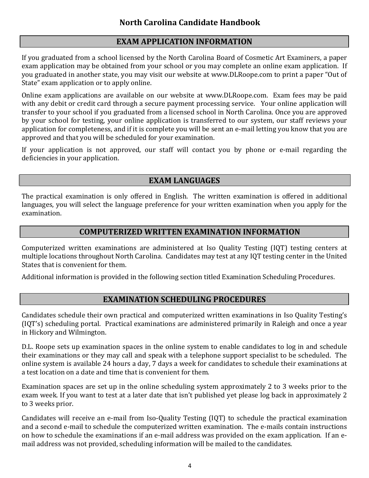## **EXAM APPLICATION INFORMATION**

If you graduated from a school licensed by the North Carolina Board of Cosmetic Art Examiners, a paper exam application may be obtained from your school or you may complete an online exam application. If you graduated in another state, you may visit our website at [www.DLRoope.com](http://www.dlroope.com/) to print a paper "Out of State" exam application or to apply online.

Online exam applications are available on our website at [www.DLRoope.com.](http://www.dlroope.com/) Exam fees may be paid with any debit or credit card through a secure payment processing service. Your online application will transfer to your school if you graduated from a licensed school in North Carolina. Once you are approved by your school for testing, your online application is transferred to our system, our staff reviews your application for completeness, and if it is complete you will be sent an e-mail letting you know that you are approved and that you will be scheduled for your examination.

If your application is not approved, our staff will contact you by phone or e-mail regarding the deficiencies in your application.

## **EXAM LANGUAGES**

The practical examination is only offered in English. The written examination is offered in additional languages, you will select the language preference for your written examination when you apply for the examination.

## **COMPUTERIZED WRITTEN EXAMINATION INFORMATION**

Computerized written examinations are administered at Iso Quality Testing (IQT) testing centers at multiple locations throughout North Carolina. Candidates may test at any IQT testing center in the United States that is convenient for them.

Additional information is provided in the following section titled Examination Scheduling Procedures.

## **EXAMINATION SCHEDULING PROCEDURES**

Candidates schedule their own practical and computerized written examinations in Iso Quality Testing's (IQT's) scheduling portal. Practical examinations are administered primarily in Raleigh and once a year in Hickory and Wilmington.

D.L. Roope sets up examination spaces in the online system to enable candidates to log in and schedule their examinations or they may call and speak with a telephone support specialist to be scheduled. The online system is available 24 hours a day, 7 days a week for candidates to schedule their examinations at a test location on a date and time that is convenient for them.

Examination spaces are set up in the online scheduling system approximately 2 to 3 weeks prior to the exam week. If you want to test at a later date that isn't published yet please log back in approximately 2 to 3 weeks prior.

Candidates will receive an e-mail from Iso-Quality Testing (IQT) to schedule the practical examination and a second e-mail to schedule the computerized written examination. The e-mails contain instructions on how to schedule the examinations if an e-mail address was provided on the exam application. If an email address was not provided, scheduling information will be mailed to the candidates.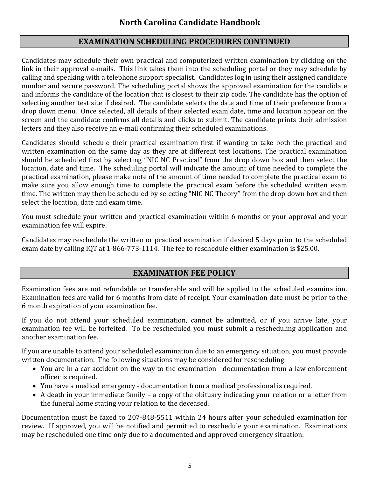## **EXAMINATION SCHEDULING PROCEDURES CONTINUED**

Candidates may schedule their own practical and computerized written examination by clicking on the link in their approval e-mails. This link takes them into the scheduling portal or they may schedule by calling and speaking with a telephone support specialist. Candidates log in using their assigned candidate number and secure password. The scheduling portal shows the approved examination for the candidate and informs the candidate of the location that is closest to their zip code. The candidate has the option of selecting another test site if desired. The candidate selects the date and time of their preference from a drop down menu. Once selected, all details of their selected exam date, time and location appear on the screen and the candidate confirms all details and clicks to submit. The candidate prints their admission letters and they also receive an e-mail confirming their scheduled examinations.

Candidates should schedule their practical examination first if wanting to take both the practical and written examination on the same day as they are at different test locations. The practical examination should be scheduled first by selecting "NIC NC Practical" from the drop down box and then select the location, date and time. The scheduling portal will indicate the amount of time needed to complete the practical examination, please make note of the amount of time needed to complete the practical exam to make sure you allow enough time to complete the practical exam before the scheduled written exam time. The written may then be scheduled by selecting "NIC NC Theory" from the drop down box and then select the location, date and exam time.

You must schedule your written and practical examination within 6 months or your approval and your examination fee will expire.

Candidates may reschedule the written or practical examination if desired 5 days prior to the scheduled exam date by calling IQT at 1-866-773-1114. The fee to reschedule either examination is \$25.00.

## **EXAMINATION FEE POLICY**

Examination fees are not refundable or transferable and will be applied to the scheduled examination. Examination fees are valid for 6 months from date of receipt. Your examination date must be prior to the 6 month expiration of your examination fee.

If you do not attend your scheduled examination, cannot be admitted, or if you arrive late, your examination fee will be forfeited. To be rescheduled you must submit a rescheduling application and another examination fee.

If you are unable to attend your scheduled examination due to an emergency situation, you must provide written documentation. The following situations may be considered for rescheduling:

- You are in a car accident on the way to the examination documentation from a law enforcement officer is required.
- You have a medical emergency documentation from a medical professional is required.
- A death in your immediate family a copy of the obituary indicating your relation or a letter from the funeral home stating your relation to the deceased.

Documentation must be faxed to 207-848-5511 within 24 hours after your scheduled examination for review. If approved, you will be notified and permitted to reschedule your examination. Examinations may be rescheduled one time only due to a documented and approved emergency situation.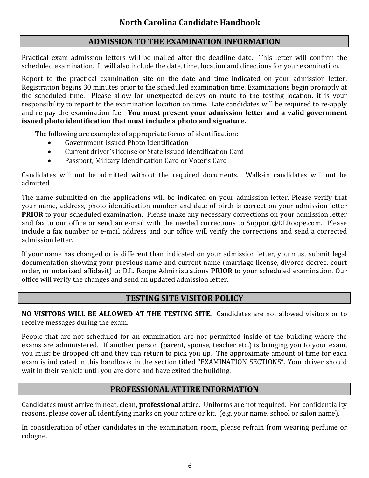## **ADMISSION TO THE EXAMINATION INFORMATION**

 Practical exam admission letters will be mailed after the deadline date. This letter will confirm the scheduled examination. It will also include the date, time, location and directions for your examination.

Report to the practical examination site on the date and time indicated on your admission letter. Registration begins 30 minutes prior to the scheduled examination time. Examinations begin promptly at the scheduled time. Please allow for unexpected delays on route to the testing location, it is your responsibility to report to the examination location on time. Late candidates will be required to re-apply and re-pay the examination fee. **You must present your admission letter and a valid government issued photo identification that must include a photo and signature.**

The following are examples of appropriate forms of identification:

- Government-issued Photo Identification
- Current driver's license or State Issued Identification Card
- Passport, Military Identification Card or Voter's Card

Candidates will not be admitted without the required documents. Walk-in candidates will not be admitted.

The name submitted on the applications will be indicated on your admission letter. Please verify that your name, address, photo identification number and date of birth is correct on your admission letter **PRIOR** to your scheduled examination. Please make any necessary corrections on your admission letter and fax to our office or send an e-mail with the needed corrections to Support@DLRoope.com. Please include a fax number or e-mail address and our office will verify the corrections and send a corrected admission letter.

If your name has changed or is different than indicated on your admission letter, you must submit legal documentation showing your previous name and current name (marriage license, divorce decree, court order, or notarized affidavit) to D.L. Roope Administrations **PRIOR** to your scheduled examination. Our office will verify the changes and send an updated admission letter.

## **TESTING SITE VISITOR POLICY**

**NO VISITORS WILL BE ALLOWED AT THE TESTING SITE.** Candidates are not allowed visitors or to receive messages during the exam.

People that are not scheduled for an examination are not permitted inside of the building where the exams are administered. If another person (parent, spouse, teacher etc.) is bringing you to your exam, you must be dropped off and they can return to pick you up. The approximate amount of time for each exam is indicated in this handbook in the section titled "EXAMINATION SECTIONS". Your driver should wait in their vehicle until you are done and have exited the building.

## **PROFESSIONAL ATTIRE INFORMATION**

Candidates must arrive in neat, clean, **professional** attire. Uniforms are not required. For confidentiality reasons, please cover all identifying marks on your attire or kit. (e.g. your name, school or salon name).

In consideration of other candidates in the examination room, please refrain from wearing perfume or cologne.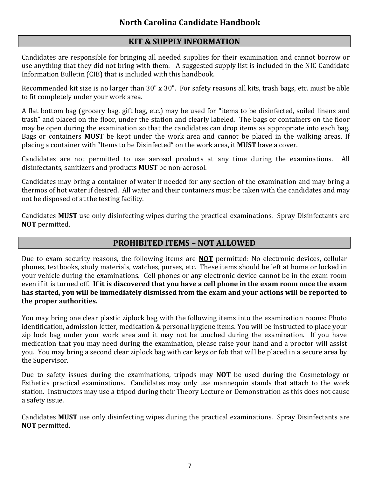## **KIT & SUPPLY INFORMATION**

Candidates are responsible for bringing all needed supplies for their examination and cannot borrow or use anything that they did not bring with them. A suggested supply list is included in the NIC Candidate Information Bulletin (CIB) that is included with this handbook.

Recommended kit size is no larger than 30" x 30". For safety reasons all kits, trash bags, etc. must be able to fit completely under your work area.

A flat bottom bag (grocery bag, gift bag, etc.) may be used for "items to be disinfected, soiled linens and trash" and placed on the floor, under the station and clearly labeled. The bags or containers on the floor may be open during the examination so that the candidates can drop items as appropriate into each bag. Bags or containers **MUST** be kept under the work area and cannot be placed in the walking areas. If placing a container with "Items to be Disinfected" on the work area, it **MUST** have a cover.

Candidates are not permitted to use aerosol products at any time during the examinations. All disinfectants, sanitizers and products **MUST** be non-aerosol.

Candidates may bring a container of water if needed for any section of the examination and may bring a thermos of hot water if desired. All water and their containers must be taken with the candidates and may not be disposed of at the testing facility.

Candidates **MUST** use only disinfecting wipes during the practical examinations. Spray Disinfectants are **NOT** permitted.

## **PROHIBITED ITEMS – NOT ALLOWED**

Due to exam security reasons, the following items are **NOT** permitted: No electronic devices, cellular phones, textbooks, study materials, watches, purses, etc. These items should be left at home or locked in your vehicle during the examinations. Cell phones or any electronic device cannot be in the exam room even if it is turned off. **If it is discovered that you have a cell phone in the exam room once the exam has started, you will be immediately dismissed from the exam and your actions will be reported to the proper authorities.** 

You may bring one clear plastic ziplock bag with the following items into the examination rooms: Photo identification, admission letter, medication & personal hygiene items. You will be instructed to place your zip lock bag under your work area and it may not be touched during the examination. If you have medication that you may need during the examination, please raise your hand and a proctor will assist you. You may bring a second clear ziplock bag with car keys or fob that will be placed in a secure area by the Supervisor.

Due to safety issues during the examinations, tripods may **NOT** be used during the Cosmetology or Esthetics practical examinations. Candidates may only use mannequin stands that attach to the work station. Instructors may use a tripod during their Theory Lecture or Demonstration as this does not cause a safety issue.

Candidates **MUST** use only disinfecting wipes during the practical examinations. Spray Disinfectants are **NOT** permitted.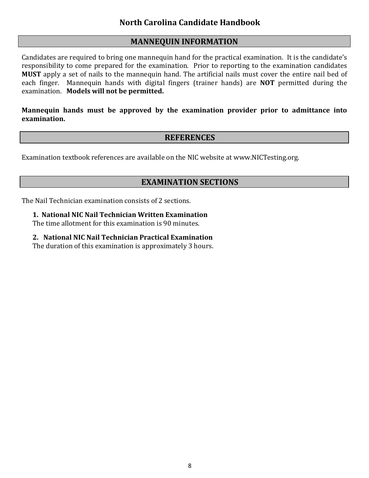#### **MANNEQUIN INFORMATION**

Candidates are required to bring one mannequin hand for the practical examination. It is the candidate's responsibility to come prepared for the examination. Prior to reporting to the examination candidates **MUST** apply a set of nails to the mannequin hand. The artificial nails must cover the entire nail bed of each finger. Mannequin hands with digital fingers (trainer hands) are **NOT** permitted during the examination. **Models will not be permitted.**

**Mannequin hands must be approved by the examination provider prior to admittance into examination.**

#### **REFERENCES**

Examination textbook references are available on the NIC website at www.NICTesting.org.

## **EXAMINATION SECTIONS**

The Nail Technician examination consists of 2 sections.

**1. National NIC Nail Technician Written Examination**

The time allotment for this examination is 90 minutes.

**2. National NIC Nail Technician Practical Examination**

The duration of this examination is approximately 3 hours.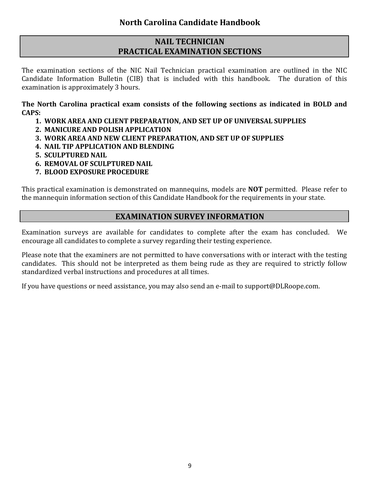## **NAIL TECHNICIAN PRACTICAL EXAMINATION SECTIONS**

The examination sections of the NIC Nail Technician practical examination are outlined in the NIC Candidate Information Bulletin (CIB) that is included with this handbook. The duration of this examination is approximately 3 hours.

**The North Carolina practical exam consists of the following sections as indicated in BOLD and CAPS:** 

- **1. WORK AREA AND CLIENT PREPARATION, AND SET UP OF UNIVERSAL SUPPLIES**
- **2. MANICURE AND POLISH APPLICATION**
- **3. WORK AREA AND NEW CLIENT PREPARATION, AND SET UP OF SUPPLIES**
- **4. NAIL TIP APPLICATION AND BLENDING**
- **5. SCULPTURED NAIL**
- **6. REMOVAL OF SCULPTURED NAIL**
- **7. BLOOD EXPOSURE PROCEDURE**

This practical examination is demonstrated on mannequins, models are **NOT** permitted. Please refer to the mannequin information section of this Candidate Handbook for the requirements in your state.

## **EXAMINATION SURVEY INFORMATION**

Examination surveys are available for candidates to complete after the exam has concluded. We encourage all candidates to complete a survey regarding their testing experience.

Please note that the examiners are not permitted to have conversations with or interact with the testing candidates. This should not be interpreted as them being rude as they are required to strictly follow standardized verbal instructions and procedures at all times.

If you have questions or need assistance, you may also send an e-mail to [support@DLRoope.com.](mailto:support@DLRoope.com)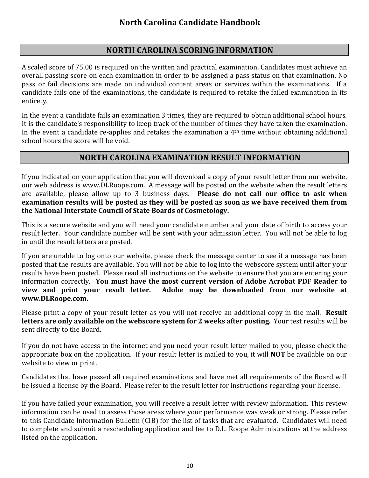## **NORTH CAROLINA SCORING INFORMATION**

A scaled score of 75.00 is required on the written and practical examination. Candidates must achieve an overall passing score on each examination in order to be assigned a pass status on that examination. No pass or fail decisions are made on individual content areas or services within the examinations. If a candidate fails one of the examinations, the candidate is required to retake the failed examination in its entirety.

In the event a candidate fails an examination 3 times, they are required to obtain additional school hours. It is the candidate's responsibility to keep track of the number of times they have taken the examination. In the event a candidate re-applies and retakes the examination a 4th time without obtaining additional school hours the score will be void.

#### **NORTH CAROLINA EXAMINATION RESULT INFORMATION**

If you indicated on your application that you will download a copy of your result letter from our website, our web address is [www.DLRoope.com.](http://www.dlroope.com/) A message will be posted on the website when the result letters are available, please allow up to 3 business days. **Please do not call our office to ask when examination results will be posted as they will be posted as soon as we have received them from the National Interstate Council of State Boards of Cosmetology.**

This is a secure website and you will need your candidate number and your date of birth to access your result letter. Your candidate number will be sent with your admission letter. You will not be able to log in until the result letters are posted.

If you are unable to log onto our website, please check the message center to see if a message has been posted that the results are available. You will not be able to log into the webscore system until after your results have been posted. Please read all instructions on the website to ensure that you are entering your information correctly. **You must have the most current version of Adobe Acrobat PDF Reader to**  Adobe may be downloaded from our website at **[www.DLRoope.com.](http://www.dlroope.com/)**

Please print a copy of your result letter as you will not receive an additional copy in the mail. **Result letters are only available on the webscore system for 2 weeks after posting.** Your test results will be sent directly to the Board.

If you do not have access to the internet and you need your result letter mailed to you, please check the appropriate box on the application. If your result letter is mailed to you, it will **NOT** be available on our website to view or print.

Candidates that have passed all required examinations and have met all requirements of the Board will be issued a license by the Board. Please refer to the result letter for instructions regarding your license.

If you have failed your examination, you will receive a result letter with review information. This review information can be used to assess those areas where your performance was weak or strong. Please refer to this Candidate Information Bulletin (CIB) for the list of tasks that are evaluated. Candidates will need to complete and submit a rescheduling application and fee to D.L. Roope Administrations at the address listed on the application.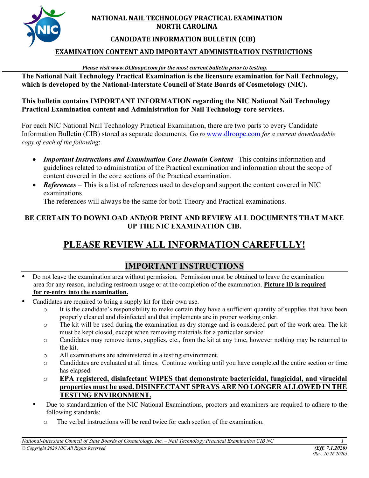

#### **NATIONAL NAIL TECHNOLOGY PRACTICAL EXAMINATION NORTH CAROLINA**

#### **CANDIDATE INFORMATION BULLETIN (CIB)**

#### **EXAMINATION CONTENT AND IMPORTANT ADMINISTRATION INSTRUCTIONS**

#### *Please visit www.DLRoope.com for the most current bulletin prior to testing.*

**The National Nail Technology Practical Examination is the licensure examination for Nail Technology, which is developed by the National-Interstate Council of State Boards of Cosmetology (NIC).**

#### **This bulletin contains IMPORTANT INFORMATION regarding the NIC National Nail Technology Practical Examination content and Administration for Nail Technology core services.**

For each NIC National Nail Technology Practical Examination, there are two parts to every Candidate Information Bulletin (CIB) stored as separate documents. G*o to* [www.dlroope.com](http://www.dlroope.com/) *for a current downloadable copy of each of the following*:

- *Important Instructions and Examination Core Domain Content* This contains information and guidelines related to administration of the Practical examination and information about the scope of content covered in the core sections of the Practical examination.
- *References* This is a list of references used to develop and support the content covered in NIC examinations.

The references will always be the same for both Theory and Practical examinations.

#### **BE CERTAIN TO DOWNLOAD AND/OR PRINT AND REVIEW ALL DOCUMENTS THAT MAKE UP THE NIC EXAMINATION CIB.**

# **PLEASE REVIEW ALL INFORMATION CAREFULLY!**

## **IMPORTANT INSTRUCTIONS**

- Do not leave the examination area without permission. Permission must be obtained to leave the examination area for any reason, including restroom usage or at the completion of the examination. **Picture ID is required for re-entry into the examination.**
- Candidates are required to bring a supply kit for their own use.
	- $\circ$  It is the candidate's responsibility to make certain they have a sufficient quantity of supplies that have been properly cleaned and disinfected and that implements are in proper working order.
	- o The kit will be used during the examination as dry storage and is considered part of the work area. The kit must be kept closed, except when removing materials for a particular service.
	- o Candidates may remove items, supplies, etc., from the kit at any time, however nothing may be returned to the kit.
	- o All examinations are administered in a testing environment.
	- o Candidates are evaluated at all times. Continue working until you have completed the entire section or time has elapsed.
	- o **EPA registered, disinfectant WIPES that demonstrate bactericidal, fungicidal, and virucidal properties must be used. DISINFECTANT SPRAYS ARE NO LONGER ALLOWED IN THE TESTING ENVIRONMENT.**
	- Due to standardization of the NIC National Examinations, proctors and examiners are required to adhere to the following standards:
		- o The verbal instructions will be read twice for each section of the examination.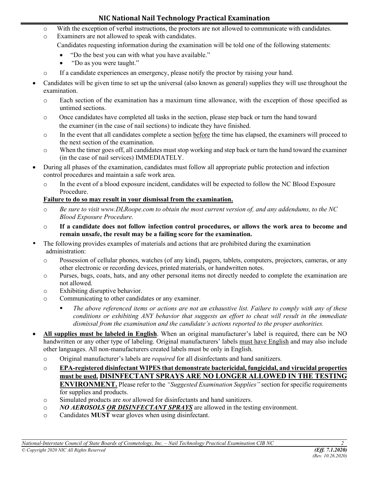#### **NIC National Nail Technology Practical Examination**

- o With the exception of verbal instructions, the proctors are not allowed to communicate with candidates.
- o Examiners are not allowed to speak with candidates.
	- Candidates requesting information during the examination will be told one of the following statements:
		- "Do the best you can with what you have available."
		- "Do as you were taught."
- o If a candidate experiences an emergency, please notify the proctor by raising your hand.
- Candidates will be given time to set up the universal (also known as general) supplies they will use throughout the examination.
	- o Each section of the examination has a maximum time allowance, with the exception of those specified as untimed sections.
	- o Once candidates have completed all tasks in the section, please step back or turn the hand toward the examiner (in the case of nail sections) to indicate they have finished.
	- o In the event that all candidates complete a section before the time has elapsed, the examiners will proceed to the next section of the examination.
	- o When the timer goes off, all candidates must stop working and step back or turn the hand toward the examiner (in the case of nail services) IMMEDIATELY.
- During all phases of the examination, candidates must follow all appropriate public protection and infection control procedures and maintain a safe work area.
	- o In the event of a blood exposure incident, candidates will be expected to follow the NC Blood Exposure Procedure.

#### **Failure to do so may result in your dismissal from the examination.**

- o *Be sure to visit www.DLRoope.com to obtain the most current version of, and any addendums, to the NC Blood Exposure Procedure.*
- o **If a candidate does not follow infection control procedures, or allows the work area to become and remain unsafe, the result may be a failing score for the examination.**
- The following provides examples of materials and actions that are prohibited during the examination administration:
	- o Possession of cellular phones, watches (of any kind), pagers, tablets, computers, projectors, cameras, or any other electronic or recording devices, printed materials, or handwritten notes.
	- o Purses, bags, coats, hats, and any other personal items not directly needed to complete the examination are not allowed.
	- o Exhibiting disruptive behavior.
	- o Communicating to other candidates or any examiner.
		- *The above referenced items or actions are not an exhaustive list. Failure to comply with any of these conditions or exhibiting ANY behavior that suggests an effort to cheat will result in the immediate dismissal from the examination and the candidate's actions reported to the proper authorities.*
- **All supplies must be labeled in English**. When an original manufacturer's label is required, there can be NO handwritten or any other type of labeling. Original manufacturers' labels must have English and may also include other languages. All non-manufacturers created labels must be only in English.
	- o Original manufacturer's labels are *required* for all disinfectants and hand sanitizers.
	- o **EPA-registered disinfectant WIPES that demonstrate bactericidal, fungicidal, and virucidal properties must be used. DISINFECTANT SPRAYS ARE NO LONGER ALLOWED IN THE TESTING ENVIRONMENT.** Please refer to the *"Suggested Examination Supplies"* section for specific requirements for supplies and products.
	- o Simulated products are *not* allowed for disinfectants and hand sanitizers.
	- o *NO AEROSOLS OR DISINFECTANT SPRAYS* are allowed in the testing environment.
	- o Candidates **MUST** wear gloves when using disinfectant.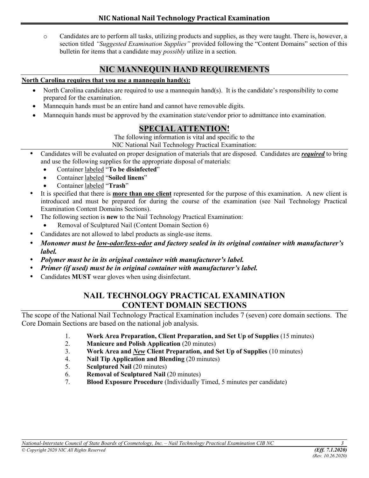o Candidates are to perform all tasks, utilizing products and supplies, as they were taught. There is, however, a section titled *"Suggested Examination Supplies"* provided following the "Content Domains" section of this bulletin for items that a candidate may *possibly* utilize in a section.

## **NIC MANNEQUIN HAND REQUIREMENTS**

#### **North Carolina requires that you use a mannequin hand(s):**

- North Carolina candidates are required to use a mannequin hand(s). It is the candidate's responsibility to come prepared for the examination.
- Mannequin hands must be an entire hand and cannot have removable digits.
- Mannequin hands must be approved by the examination state/vendor prior to admittance into examination.

## **SPECIAL ATTENTION!**

The following information is vital and specific to the

NIC National Nail Technology Practical Examination:

- Candidates will be evaluated on proper designation of materials that are disposed. Candidates are *required* to bring and use the following supplies for the appropriate disposal of materials:
	- Container labeled "**To be disinfected**"
	- Container labeled "**Soiled linens**"
	- Container labeled "**Trash**"
- It is specified that there is **more than one client** represented for the purpose of this examination. A new client is introduced and must be prepared for during the course of the examination (see Nail Technology Practical Examination Content Domains Sections).
	- The following section is **new** to the Nail Technology Practical Examination:
	- Removal of Sculptured Nail (Content Domain Section 6)
- Candidates are not allowed to label products as single-use items.
- *Monomer must be low-odor/less-odor and factory sealed in its original container with manufacturer's label.*
- *Polymer must be in its original container with manufacturer's label.*
- *Primer (if used) must be in original container with manufacturer's label.*
- Candidates **MUST** wear gloves when using disinfectant.

## **NAIL TECHNOLOGY PRACTICAL EXAMINATION CONTENT DOMAIN SECTIONS**

The scope of the National Nail Technology Practical Examination includes 7 (seven) core domain sections. The Core Domain Sections are based on the national job analysis.

- 1. **Work Area Preparation, Client Preparation, and Set Up of Supplies** (15 minutes)
- 2. **Manicure and Polish Application** (20 minutes)
- 3. **Work Area and** *New* **Client Preparation, and Set Up of Supplies** (10 minutes)
- 4. **Nail Tip Application and Blending** (20 minutes)
- 5. **Sculptured Nail** (20 minutes)
- 6. **Removal of Sculptured Nail** (20 minutes)
- 7. **Blood Exposure Procedure** (Individually Timed, 5 minutes per candidate)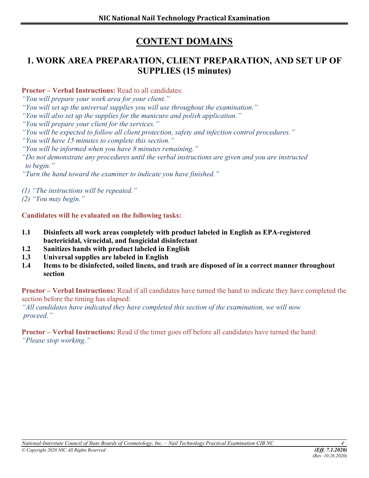# **CONTENT DOMAINS**

# **1. WORK AREA PREPARATION, CLIENT PREPARATION, AND SET UP OF SUPPLIES (15 minutes)**

**Proctor – Verbal Instructions:** Read to all candidates:

*"You will prepare your work area for your client."*

*"You will set up the universal supplies you will use throughout the examination."* 

*"You will also set up the supplies for the manicure and polish application."*

*"You will prepare your client for the services."*

*"You will be expected to follow all client protection, safety and infection control procedures."*

*"You will have 15 minutes to complete this section."*

*"You will be informed when you have 8 minutes remaining."*

*"Do not demonstrate any procedures until the verbal instructions are given and you are instructed to begin."*

*"Turn the hand toward the examiner to indicate you have finished."*

*(1) "The instructions will be repeated."* 

*(2) "You may begin."*

#### **Candidates will be evaluated on the following tasks:**

- **1.1 Disinfects all work areas completely with product labeled in English as EPA-registered bactericidal, virucidal, and fungicidal disinfectant**
- **1.2 Sanitizes hands with product labeled in English**
- **1.3 Universal supplies are labeled in English**
- **1.4 Items to be disinfected, soiled linens, and trash are disposed of in a correct manner throughout section**

**Proctor – Verbal Instructions:** Read if all candidates have turned the hand to indicate they have completed the section before the timing has elapsed:

*"All candidates have indicated they have completed this section of the examination, we will now proceed."*

**Proctor – Verbal Instructions:** Read if the timer goes off before all candidates have turned the hand: *"Please stop working."*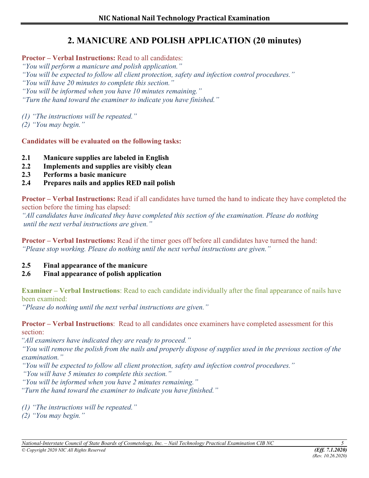# **2. MANICURE AND POLISH APPLICATION (20 minutes)**

**Proctor – Verbal Instructions:** Read to all candidates:

*"You will perform a manicure and polish application."* 

*"You will be expected to follow all client protection, safety and infection control procedures."* 

*"You will have 20 minutes to complete this section."* 

*"You will be informed when you have 10 minutes remaining."* 

*"Turn the hand toward the examiner to indicate you have finished."* 

*(1) "The instructions will be repeated."*

*(2) "You may begin."*

**Candidates will be evaluated on the following tasks:** 

- **2.1 Manicure supplies are labeled in English**
- **2.2 Implements and supplies are visibly clean**
- **2.3 Performs a basic manicure**
- **2.4 Prepares nails and applies RED nail polish**

**Proctor – Verbal Instructions:** Read if all candidates have turned the hand to indicate they have completed the section before the timing has elapsed:

*"All candidates have indicated they have completed this section of the examination. Please do nothing until the next verbal instructions are given."* 

**Proctor – Verbal Instructions:** Read if the timer goes off before all candidates have turned the hand: *"Please stop working. Please do nothing until the next verbal instructions are given."* 

**2.5 Final appearance of the manicure**

#### **2.6 Final appearance of polish application**

**Examiner – Verbal Instructions**: Read to each candidate individually after the final appearance of nails have been examined:

*"Please do nothing until the next verbal instructions are given."*

**Proctor – Verbal Instructions**: Read to all candidates once examiners have completed assessment for this section:

 *"All examiners have indicated they are ready to proceed."* 

*"You will remove the polish from the nails and properly dispose of supplies used in the previous section of the examination."* 

*"You will be expected to follow all client protection, safety and infection control procedures."* 

 *"You will have 5 minutes to complete this section."* 

*"You will be informed when you have 2 minutes remaining."* 

 *"Turn the hand toward the examiner to indicate you have finished."* 

*(1) "The instructions will be repeated."*

*(2) "You may begin."*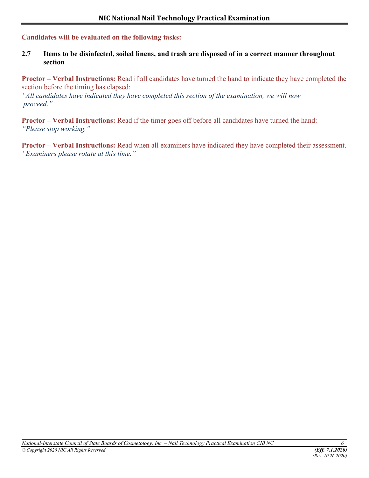#### **Candidates will be evaluated on the following tasks:**

#### **2.7 Items to be disinfected, soiled linens, and trash are disposed of in a correct manner throughout section**

**Proctor – Verbal Instructions:** Read if all candidates have turned the hand to indicate they have completed the section before the timing has elapsed:

*"All candidates have indicated they have completed this section of the examination, we will now proceed."*

**Proctor – Verbal Instructions:** Read if the timer goes off before all candidates have turned the hand: *"Please stop working."*

**Proctor – Verbal Instructions:** Read when all examiners have indicated they have completed their assessment. *"Examiners please rotate at this time."*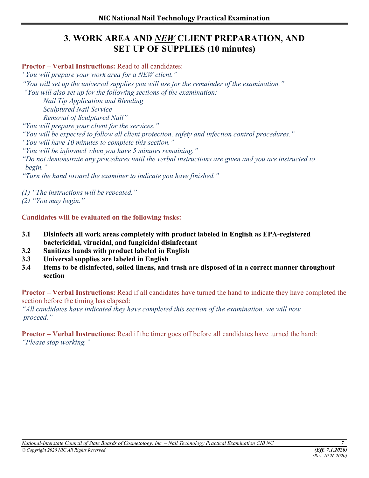## **3. WORK AREA AND** *NEW* **CLIENT PREPARATION, AND SET UP OF SUPPLIES (10 minutes)**

**Proctor – Verbal Instructions:** Read to all candidates:

*"You will prepare your work area for a NEW client."*

*"You will set up the universal supplies you will use for the remainder of the examination."*

 *"You will also set up for the following sections of the examination:* 

*Nail Tip Application and Blending Sculptured Nail Service*

*Removal of Sculptured Nail"* 

*"You will prepare your client for the services."* 

*"You will be expected to follow all client protection, safety and infection control procedures."* 

*"You will have 10 minutes to complete this section."* 

*"You will be informed when you have 5 minutes remaining."* 

*"Do not demonstrate any procedures until the verbal instructions are given and you are instructed to begin."* 

*"Turn the hand toward the examiner to indicate you have finished."* 

*(1) "The instructions will be repeated."*

*(2) "You may begin."*

#### **Candidates will be evaluated on the following tasks:**

- **3.1 Disinfects all work areas completely with product labeled in English as EPA-registered bactericidal, virucidal, and fungicidal disinfectant**
- **3.2 Sanitizes hands with product labeled in English**
- **3.3 Universal supplies are labeled in English**
- **3.4 Items to be disinfected, soiled linens, and trash are disposed of in a correct manner throughout section**

**Proctor – Verbal Instructions:** Read if all candidates have turned the hand to indicate they have completed the section before the timing has elapsed:

*"All candidates have indicated they have completed this section of the examination, we will now proceed."* 

**Proctor – Verbal Instructions:** Read if the timer goes off before all candidates have turned the hand: *"Please stop working."*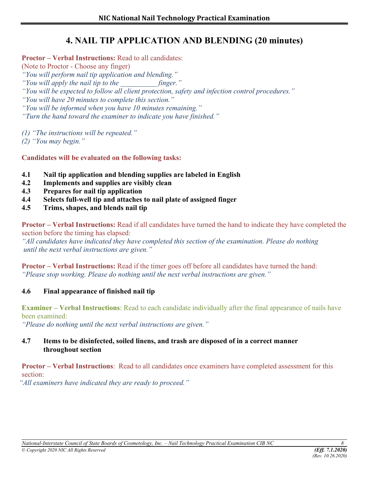# **4. NAIL TIP APPLICATION AND BLENDING (20 minutes)**

**Proctor – Verbal Instructions:** Read to all candidates:

(Note to Proctor - Choose any finger)

*"You will perform nail tip application and blending."*

*"You will apply the nail tip to the \_\_\_\_\_\_\_\_\_\_ finger."*

*"You will be expected to follow all client protection, safety and infection control procedures."*

*"You will have 20 minutes to complete this section."*

*"You will be informed when you have 10 minutes remaining."*

*"Turn the hand toward the examiner to indicate you have finished."*

*(1) "The instructions will be repeated."* 

*(2) "You may begin."*

**Candidates will be evaluated on the following tasks:**

- **4.1 Nail tip application and blending supplies are labeled in English**
- **4.2 Implements and supplies are visibly clean**
- **4.3 Prepares for nail tip application**
- **4.4 Selects full-well tip and attaches to nail plate of assigned finger**
- **4.5 Trims, shapes, and blends nail tip**

**Proctor – Verbal Instructions:** Read if all candidates have turned the hand to indicate they have completed the section before the timing has elapsed:

*"All candidates have indicated they have completed this section of the examination. Please do nothing until the next verbal instructions are given."*

**Proctor – Verbal Instructions:** Read if the timer goes off before all candidates have turned the hand: *"Please stop working. Please do nothing until the next verbal instructions are given."*

#### **4.6 Final appearance of finished nail tip**

**Examiner – Verbal Instructions**: Read to each candidate individually after the final appearance of nails have been examined:

*"Please do nothing until the next verbal instructions are given."*

#### **4.7 Items to be disinfected, soiled linens, and trash are disposed of in a correct manner throughout section**

**Proctor – Verbal Instructions**: Read to all candidates once examiners have completed assessment for this section:

*"All examiners have indicated they are ready to proceed."*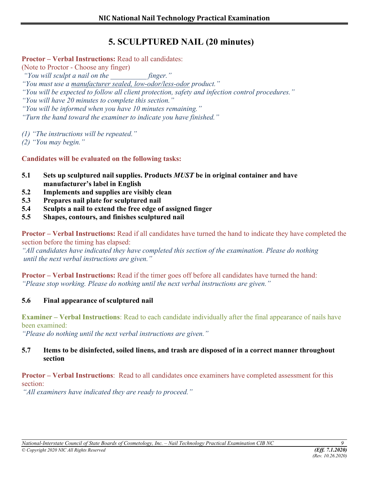# **5. SCULPTURED NAIL (20 minutes)**

#### **Proctor – Verbal Instructions:** Read to all candidates:

(Note to Proctor - Choose any finger)

 *"You will sculpt a nail on the \_\_\_\_\_\_\_\_\_\_ finger."*

*"You must use a manufacturer sealed, low-odor/less-odor product."* 

*"You will be expected to follow all client protection, safety and infection control procedures."* 

*"You will have 20 minutes to complete this section."* 

*"You will be informed when you have 10 minutes remaining."* 

*"Turn the hand toward the examiner to indicate you have finished."* 

*(1) "The instructions will be repeated."*

*(2) "You may begin."*

**Candidates will be evaluated on the following tasks:** 

- **5.1 Sets up sculptured nail supplies. Products** *MUST* **be in original container and have manufacturer's label in English**
- **5.2 Implements and supplies are visibly clean**
- **5.3 Prepares nail plate for sculptured nail**
- **5.4 Sculpts a nail to extend the free edge of assigned finger**
- **5.5 Shapes, contours, and finishes sculptured nail**

**Proctor – Verbal Instructions:** Read if all candidates have turned the hand to indicate they have completed the section before the timing has elapsed:

*"All candidates have indicated they have completed this section of the examination. Please do nothing until the next verbal instructions are given."* 

**Proctor – Verbal Instructions:** Read if the timer goes off before all candidates have turned the hand: *"Please stop working. Please do nothing until the next verbal instructions are given."* 

#### **5.6 Final appearance of sculptured nail**

**Examiner – Verbal Instructions**: Read to each candidate individually after the final appearance of nails have been examined:

*"Please do nothing until the next verbal instructions are given."*

#### **5.7 Items to be disinfected, soiled linens, and trash are disposed of in a correct manner throughout section**

#### **Proctor – Verbal Instructions**: Read to all candidates once examiners have completed assessment for this section:

 *"All examiners have indicated they are ready to proceed."*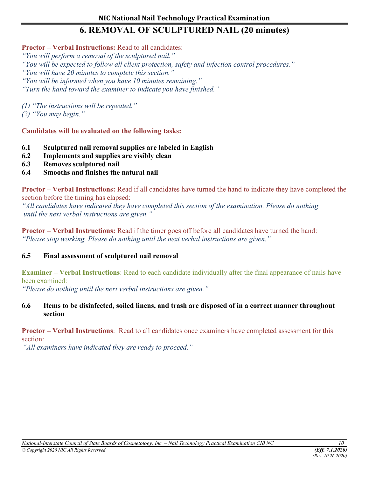# **6. REMOVAL OF SCULPTURED NAIL (20 minutes)**

#### **Proctor – Verbal Instructions:** Read to all candidates:

*"You will perform a removal of the sculptured nail."* 

*"You will be expected to follow all client protection, safety and infection control procedures."* 

*"You will have 20 minutes to complete this section."* 

*"You will be informed when you have 10 minutes remaining."*

*"Turn the hand toward the examiner to indicate you have finished."* 

*(1) "The instructions will be repeated."*

*(2) "You may begin."*

**Candidates will be evaluated on the following tasks:** 

- **6.1 Sculptured nail removal supplies are labeled in English**
- **6.2 Implements and supplies are visibly clean**
- **6.3 Removes sculptured nail**
- **6.4 Smooths and finishes the natural nail**

**Proctor – Verbal Instructions:** Read if all candidates have turned the hand to indicate they have completed the section before the timing has elapsed:

*"All candidates have indicated they have completed this section of the examination. Please do nothing until the next verbal instructions are given."* 

**Proctor – Verbal Instructions:** Read if the timer goes off before all candidates have turned the hand: *"Please stop working. Please do nothing until the next verbal instructions are given."* 

#### **6.5 Final assessment of sculptured nail removal**

**Examiner – Verbal Instructions**: Read to each candidate individually after the final appearance of nails have been examined:

*"Please do nothing until the next verbal instructions are given."*

#### **6.6 Items to be disinfected, soiled linens, and trash are disposed of in a correct manner throughout section**

**Proctor – Verbal Instructions**: Read to all candidates once examiners have completed assessment for this section:

 *"All examiners have indicated they are ready to proceed."*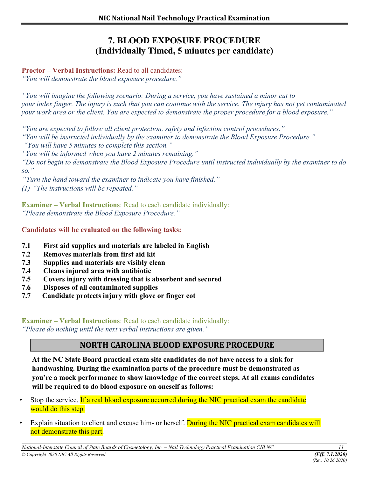# **7. BLOOD EXPOSURE PROCEDURE (Individually Timed, 5 minutes per candidate)**

**Proctor – Verbal Instructions:** Read to all candidates:

*"You will demonstrate the blood exposure procedure."* 

*"You will imagine the following scenario: During a service, you have sustained a minor cut to your index finger. The injury is such that you can continue with the service. The injury has not yet contaminated your work area or the client. You are expected to demonstrate the proper procedure for a blood exposure."* 

*"You are expected to follow all client protection, safety and infection control procedures."* 

*"You will be instructed individually by the examiner to demonstrate the Blood Exposure Procedure."* 

*"You will have 5 minutes to complete this section."* 

*"You will be informed when you have 2 minutes remaining."* 

*"Do not begin to demonstrate the Blood Exposure Procedure until instructed individually by the examiner to do so."* 

*"Turn the hand toward the examiner to indicate you have finished." (1) "The instructions will be repeated."*

**Examiner – Verbal Instructions**: Read to each candidate individually: *"Please demonstrate the Blood Exposure Procedure."*

**Candidates will be evaluated on the following tasks:** 

- **7.1 First aid supplies and materials are labeled in English**
- **7.2 Removes materials from first aid kit**
- **7.3 Supplies and materials are visibly clean**
- **7.4 Cleans injured area with antibiotic**
- **7.5 Covers injury with dressing that is absorbent and secured**
- **7.6 Disposes of all contaminated supplies**
- **7.7 Candidate protects injury with glove or finger cot**

**Examiner – Verbal Instructions**: Read to each candidate individually: *"Please do nothing until the next verbal instructions are given."*

## **NORTH CAROLINA BLOOD EXPOSURE PROCEDURE**

**At the NC State Board practical exam site candidates do not have access to a sink for handwashing. During the examination parts of the procedure must be demonstrated as you're a mock performance to show knowledge of the correct steps. At all exams candidates will be required to do blood exposure on oneself as follows:** 

- Stop the service. If a real blood exposure occurred during the NIC practical exam the candidate would do this step.
- Explain situation to client and excuse him- or herself. During the NIC practical exam candidates will not demonstrate this part.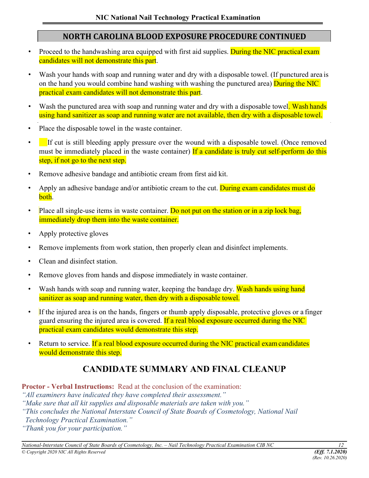#### **NORTH CAROLINA BLOOD EXPOSURE PROCEDURE CONTINUED**

- Proceed to the handwashing area equipped with first aid supplies. During the NIC practical exam candidates will not demonstrate this part.
- Wash your hands with soap and running water and dry with a disposable towel. (If punctured area is on the hand you would combine hand washing with washing the punctured area) During the NIC practical exam candidates will not demonstrate this part.
- Wash the punctured area with soap and running water and dry with a disposable towel. Wash hands using hand sanitizer as soap and running water are not available, then dry with a disposable towel.
- Place the disposable towel in the waste container.
- If cut is still bleeding apply pressure over the wound with a disposable towel. (Once removed must be immediately placed in the waste container) If a candidate is truly cut self-perform do this step, if not go to the next step.
- Remove adhesive bandage and antibiotic cream from first aid kit.
- Apply an adhesive bandage and/or antibiotic cream to the cut. During exam candidates must do both.
- Place all single-use items in waste container. Do not put on the station or in a zip lock bag, immediately drop them into the waste container.
- Apply protective gloves
- Remove implements from work station, then properly clean and disinfect implements.
- Clean and disinfect station.
- Remove gloves from hands and dispose immediately in waste container.
- Wash hands with soap and running water, keeping the bandage dry. Wash hands using hand sanitizer as soap and running water, then dry with a disposable towel.
- If the injured area is on the hands, fingers or thumb apply disposable, protective gloves or a finger guard ensuring the injured area is covered. If a real blood exposure occurred during the NIC practical exam candidates would demonstrate this step.
- Return to service. If a real blood exposure occurred during the NIC practical exam candidates would demonstrate this step.

# **CANDIDATE SUMMARY AND FINAL CLEANUP**

**Proctor - Verbal Instructions:** Read at the conclusion of the examination:

*"All examiners have indicated they have completed their assessment."*

*"Make sure that all kit supplies and disposable materials are taken with you."* 

*"This concludes the National Interstate Council of State Boards of Cosmetology, National Nail* 

 *Technology Practical Examination."* 

*"Thank you for your participation."*

*National-Interstate Council of State Boards of Cosmetology, Inc. – Nail Technology Practical Examination CIB NC 12*